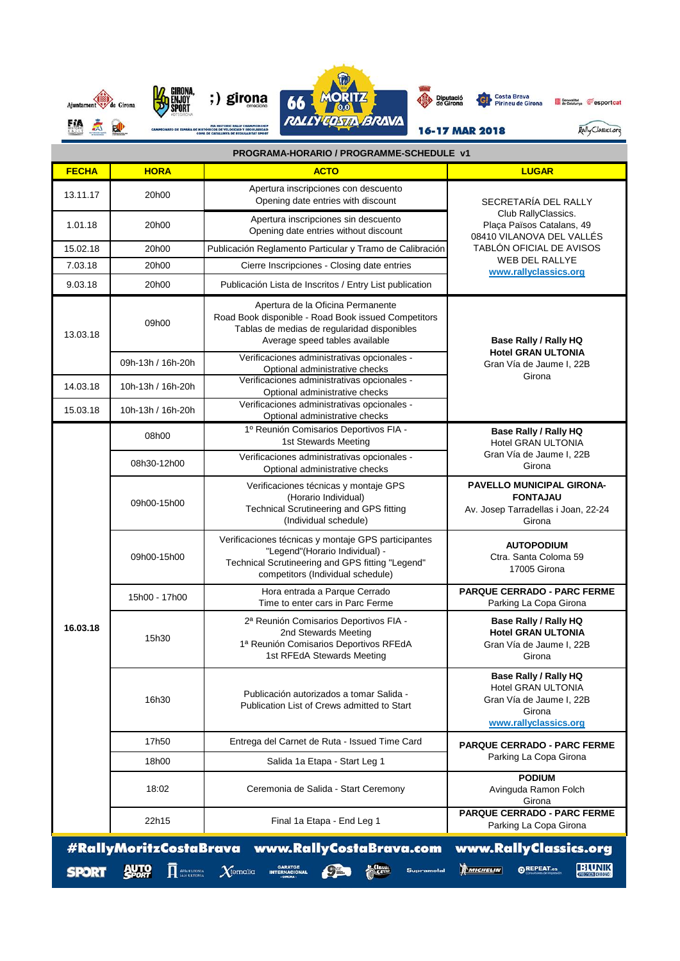

| PROGRAMA-HORARIO / PROGRAMME-SCHEDULE v1 |                                  |                                                                                                                                                                                |                                                                                                                                                                              |  |  |  |
|------------------------------------------|----------------------------------|--------------------------------------------------------------------------------------------------------------------------------------------------------------------------------|------------------------------------------------------------------------------------------------------------------------------------------------------------------------------|--|--|--|
| <b>FECHA</b>                             | <b>HORA</b>                      | <b>ACTO</b>                                                                                                                                                                    | <b>LUGAR</b>                                                                                                                                                                 |  |  |  |
| 13.11.17                                 | 20h00                            | Apertura inscripciones con descuento<br>Opening date entries with discount                                                                                                     | SECRETARÍA DEL RALLY<br>Club RallyClassics.<br>Plaça Països Catalans, 49<br>08410 VILANOVA DEL VALLÉS<br>TABLÓN OFICIAL DE AVISOS<br>WEB DEL RALLYE<br>www.rallyclassics.org |  |  |  |
| 1.01.18                                  | 20h00                            | Apertura inscripciones sin descuento<br>Opening date entries without discount                                                                                                  |                                                                                                                                                                              |  |  |  |
| 15.02.18                                 | 20h00                            | Publicación Reglamento Particular y Tramo de Calibración                                                                                                                       |                                                                                                                                                                              |  |  |  |
| 7.03.18                                  | 20h00                            | Cierre Inscripciones - Closing date entries                                                                                                                                    |                                                                                                                                                                              |  |  |  |
| 9.03.18                                  | 20h00                            | Publicación Lista de Inscritos / Entry List publication                                                                                                                        |                                                                                                                                                                              |  |  |  |
| 13.03.18                                 | 09h00                            | Apertura de la Oficina Permanente<br>Road Book disponible - Road Book issued Competitors<br>Tablas de medias de regularidad disponibles<br>Average speed tables available      | Base Rally / Rally HQ<br><b>Hotel GRAN ULTONIA</b><br>Gran Vía de Jaume I, 22B<br>Girona                                                                                     |  |  |  |
|                                          | 09h-13h / 16h-20h                | Verificaciones administrativas opcionales -<br>Optional administrative checks                                                                                                  |                                                                                                                                                                              |  |  |  |
| 14.03.18                                 | 10h-13h / 16h-20h                | Verificaciones administrativas opcionales -<br>Optional administrative checks                                                                                                  |                                                                                                                                                                              |  |  |  |
| 15.03.18                                 | 10h-13h / 16h-20h                | Verificaciones administrativas opcionales -<br>Optional administrative checks                                                                                                  |                                                                                                                                                                              |  |  |  |
| 16.03.18                                 | 08h00                            | 1º Reunión Comisarios Deportivos FIA -<br>1st Stewards Meeting                                                                                                                 | Base Rally / Rally HQ<br>Hotel GRAN ULTONIA<br>Gran Vía de Jaume I, 22B<br>Girona                                                                                            |  |  |  |
|                                          | 08h30-12h00                      | Verificaciones administrativas opcionales -<br>Optional administrative checks                                                                                                  |                                                                                                                                                                              |  |  |  |
|                                          | 09h00-15h00                      | Verificaciones técnicas y montaje GPS<br>(Horario Individual)<br><b>Technical Scrutineering and GPS fitting</b><br>(Individual schedule)                                       | PAVELLO MUNICIPAL GIRONA-<br><b>FONTAJAU</b><br>Av. Josep Tarradellas i Joan, 22-24<br>Girona                                                                                |  |  |  |
|                                          | 09h00-15h00                      | Verificaciones técnicas y montaje GPS participantes<br>"Legend"(Horario Individual) -<br>Technical Scrutineering and GPS fitting "Legend"<br>competitors (Individual schedule) | <b>AUTOPODIUM</b><br>Ctra. Santa Coloma 59<br>17005 Girona                                                                                                                   |  |  |  |
|                                          | 15h00 - 17h00                    | Hora entrada a Parque Cerrado<br>Time to enter cars in Parc Ferme                                                                                                              | PARQUE CERRADO - PARC FERME<br>Parking La Copa Girona                                                                                                                        |  |  |  |
|                                          | 15h30                            | 2ª Reunión Comisarios Deportivos FIA -<br>2nd Stewards Meeting<br>1ª Reunión Comisarios Deportivos RFEdA<br>1st RFEdA Stewards Meeting                                         | Base Rally / Rally HQ<br><b>Hotel GRAN ULTONIA</b><br>Gran Vía de Jaume I, 22B<br>Girona                                                                                     |  |  |  |
|                                          | 16h30                            | Publicación autorizados a tomar Salida -<br>Publication List of Crews admitted to Start                                                                                        | Base Rally / Rally HQ<br>Hotel GRAN ULTONIA<br>Gran Vía de Jaume I, 22B<br>Girona<br>www.rallyclassics.org                                                                   |  |  |  |
|                                          | 17h50                            | Entrega del Carnet de Ruta - Issued Time Card                                                                                                                                  | <b>PARQUE CERRADO - PARC FERME</b>                                                                                                                                           |  |  |  |
|                                          | 18h00                            | Salida 1a Etapa - Start Leg 1                                                                                                                                                  | Parking La Copa Girona                                                                                                                                                       |  |  |  |
|                                          | 18:02                            | Ceremonia de Salida - Start Ceremony                                                                                                                                           | <b>PODIUM</b><br>Avinguda Ramon Folch<br>Girona                                                                                                                              |  |  |  |
|                                          | 22h15                            | Final 1a Etapa - End Leg 1                                                                                                                                                     | <b>PARQUE CERRADO - PARC FERME</b><br>Parking La Copa Girona                                                                                                                 |  |  |  |
| <b>SPORT</b>                             | <b>AUTO</b><br><b>CONTRACTOR</b> | #RallyMoritzCostaBrava www.RallyCostaBrava.com<br>GARATGE<br>INTERNACIONAL<br>CORONA<br>Com<br>$\chi$ ternalia<br>Supramotal                                                   | www.RallyClassics.org<br><b>BUNIK</b><br>MICHELIN<br><b>GREPEAT.</b> es                                                                                                      |  |  |  |